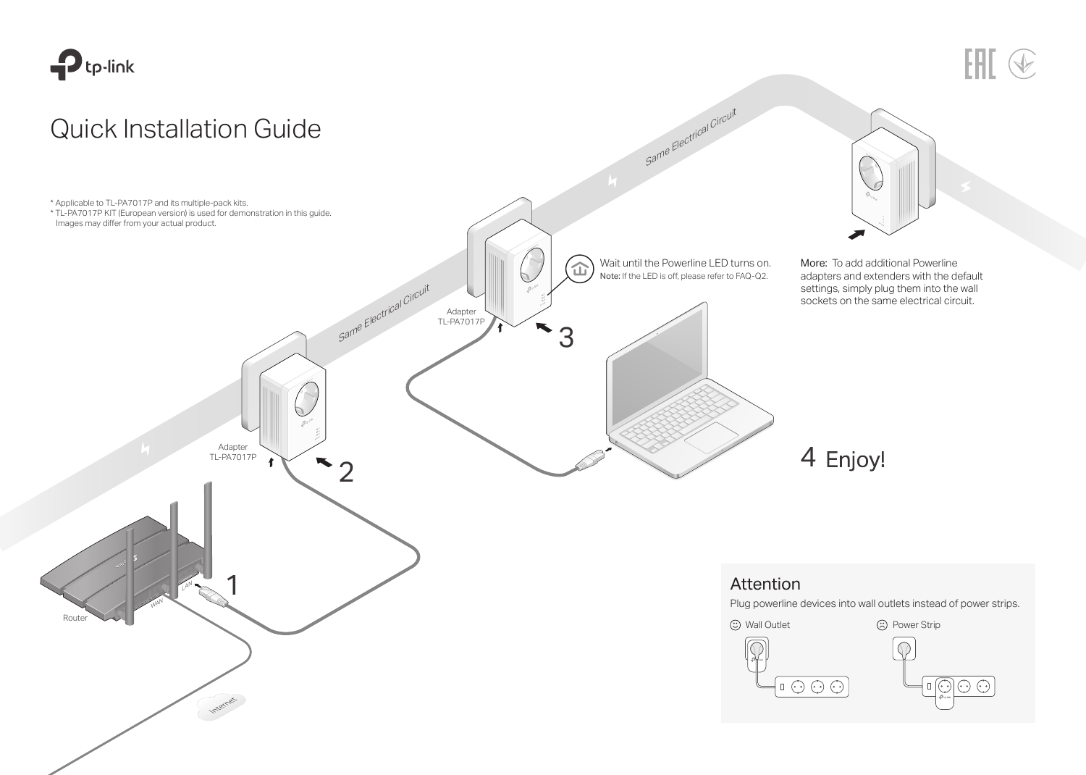